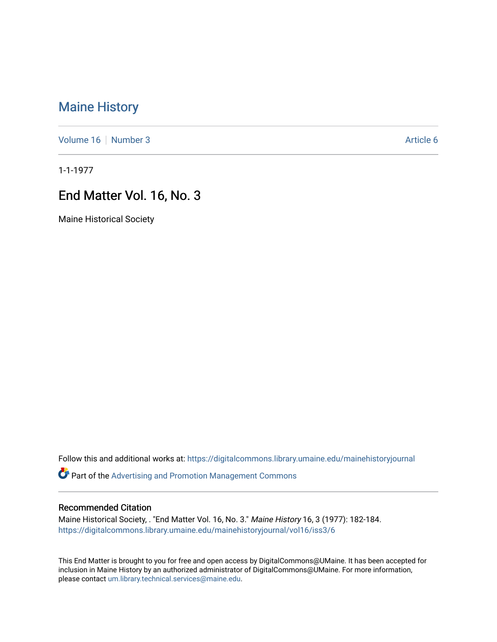# [Maine History](https://digitalcommons.library.umaine.edu/mainehistoryjournal)

[Volume 16](https://digitalcommons.library.umaine.edu/mainehistoryjournal/vol16) [Number 3](https://digitalcommons.library.umaine.edu/mainehistoryjournal/vol16/iss3) Article 6

1-1-1977

# End Matter Vol. 16, No. 3

Maine Historical Society

Follow this and additional works at: [https://digitalcommons.library.umaine.edu/mainehistoryjournal](https://digitalcommons.library.umaine.edu/mainehistoryjournal?utm_source=digitalcommons.library.umaine.edu%2Fmainehistoryjournal%2Fvol16%2Fiss3%2F6&utm_medium=PDF&utm_campaign=PDFCoverPages) 

Part of the [Advertising and Promotion Management Commons](http://network.bepress.com/hgg/discipline/626?utm_source=digitalcommons.library.umaine.edu%2Fmainehistoryjournal%2Fvol16%2Fiss3%2F6&utm_medium=PDF&utm_campaign=PDFCoverPages) 

#### Recommended Citation

Maine Historical Society, . "End Matter Vol. 16, No. 3." Maine History 16, 3 (1977): 182-184. [https://digitalcommons.library.umaine.edu/mainehistoryjournal/vol16/iss3/6](https://digitalcommons.library.umaine.edu/mainehistoryjournal/vol16/iss3/6?utm_source=digitalcommons.library.umaine.edu%2Fmainehistoryjournal%2Fvol16%2Fiss3%2F6&utm_medium=PDF&utm_campaign=PDFCoverPages)

This End Matter is brought to you for free and open access by DigitalCommons@UMaine. It has been accepted for inclusion in Maine History by an authorized administrator of DigitalCommons@UMaine. For more information, please contact [um.library.technical.services@maine.edu.](mailto:um.library.technical.services@maine.edu)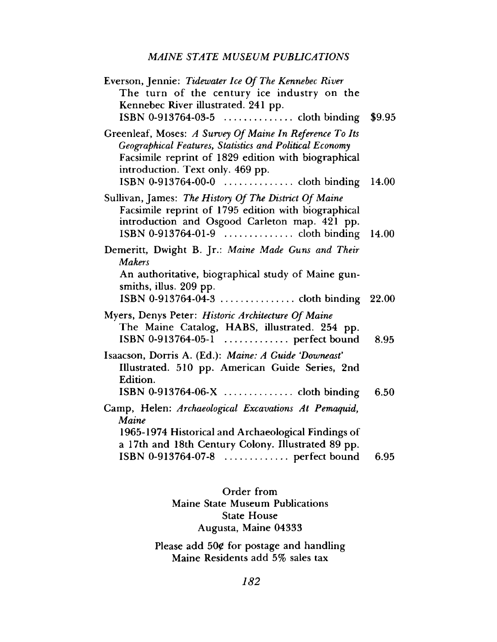### *MAINE STATE MUSEUM PUBLICATIONS*

| Everson, Jennie: Tidewater Ice Of The Kennebec River<br>The turn of the century ice industry on the<br>Kennebec River illustrated. 241 pp.<br>ISBN 0-913764-03-5  cloth binding                                                                                             | \$9.95 |
|-----------------------------------------------------------------------------------------------------------------------------------------------------------------------------------------------------------------------------------------------------------------------------|--------|
| Greenleaf, Moses: A Survey Of Maine In Reference To Its<br>Geographical Features, Statistics and Political Economy<br>Facsimile reprint of 1829 edition with biographical<br>introduction. Text only. 469 pp.<br>ISBN 0-913764-00-0 $\dots \dots \dots \dots$ cloth binding | 14.00  |
| Sullivan, James: The History Of The District Of Maine<br>Facsimile reprint of 1795 edition with biographical<br>introduction and Osgood Carleton map. 421 pp.<br>ISBN 0-913764-01-9  cloth binding                                                                          | 14.00  |
| Demeritt, Dwight B. Jr.: Maine Made Guns and Their<br><b>Makers</b><br>An authoritative, biographical study of Maine gun-<br>smiths, illus. 209 pp.                                                                                                                         |        |
| Myers, Denys Peter: Historic Architecture Of Maine<br>The Maine Catalog, HABS, illustrated. 254 pp.<br>ISBN 0-913764-05-1  perfect bound                                                                                                                                    | 8.95   |
| Isaacson, Dorris A. (Ed.): Maine: A Guide 'Downeast'<br>Illustrated. 510 pp. American Guide Series, 2nd<br>Edition.<br>ISBN 0-913764-06-X  cloth binding                                                                                                                    | 6.50   |
| Camp, Helen: Archaeological Excavations At Pemaquid,<br>Maine<br>1965-1974 Historical and Archaeological Findings of<br>a 17th and 18th Century Colony. Illustrated 89 pp.<br>ISBN 0-913764-07-8  perfect bound                                                             | 6.95   |

## **Order from Maine State Museum Publications State House Augusta, Maine 04333**

Please add 50¢ for postage and handling **Maine Residents add 5% sales tax**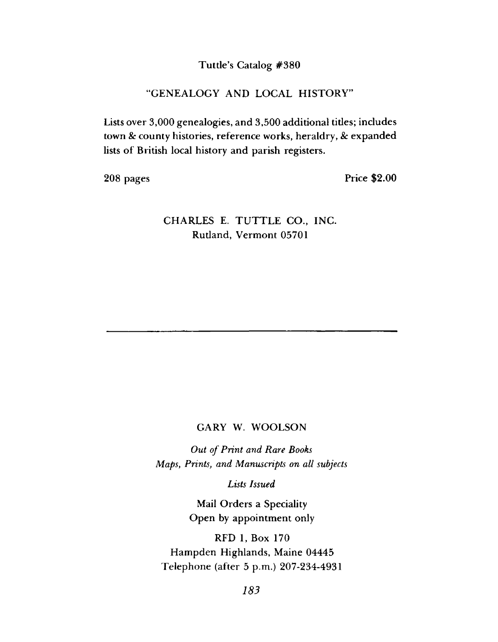### **Tuttle's Catalog #380**

#### **"GENEALOGY AND LOCAL HISTORY''**

**Lists over 3,000 genealogies, and 3,500 additional tides; includes town & county histories, reference works, heraldry,** *8c* **expanded** lists of British local history and parish registers.

**208 pages Price \$2.00**

## **CHARLES E. TUTTLE CO., INC. Rutland, Vermont 05701**

#### **GARY W. WOOLSON**

**Out of Print and Rare Books** *M aps***,** *P rin ts***,** *a n d M anuscripts on a ll subjects*

*Lists Issued*

**Mail Orders a Speciality Open by appointment only**

**RFD 1, Box 170 Hampden Highlands, Maine 04445 Telephone (after 5 p.m.) 207-234-4931**